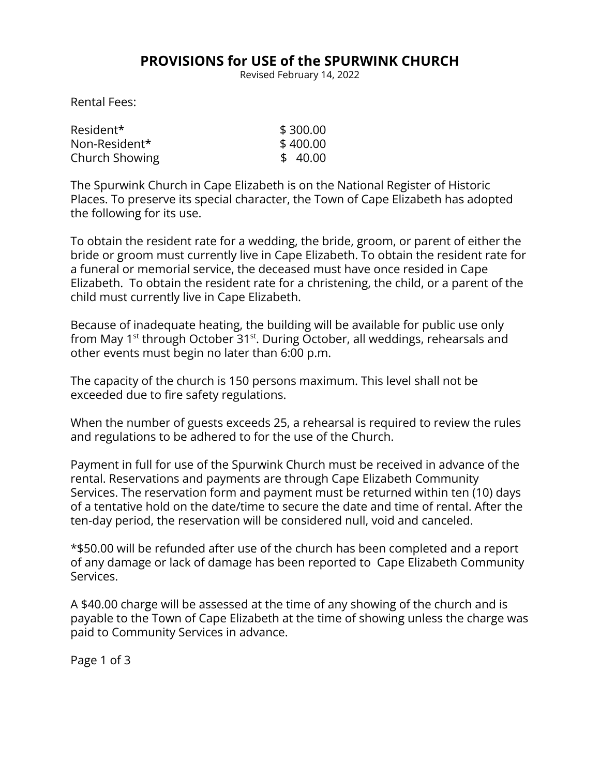## **PROVISIONS for USE of the SPURWINK CHURCH**

Revised February 14, 2022

Rental Fees:

| Resident*      | \$300.00 |
|----------------|----------|
| Non-Resident*  | \$400.00 |
| Church Showing | \$40.00  |

The Spurwink Church in Cape Elizabeth is on the National Register of Historic Places. To preserve its special character, the Town of Cape Elizabeth has adopted the following for its use.

To obtain the resident rate for a wedding, the bride, groom, or parent of either the bride or groom must currently live in Cape Elizabeth. To obtain the resident rate for a funeral or memorial service, the deceased must have once resided in Cape Elizabeth. To obtain the resident rate for a christening, the child, or a parent of the child must currently live in Cape Elizabeth.

Because of inadequate heating, the building will be available for public use only from May 1<sup>st</sup> through October 31<sup>st</sup>. During October, all weddings, rehearsals and other events must begin no later than 6:00 p.m.

The capacity of the church is 150 persons maximum. This level shall not be exceeded due to fire safety regulations.

When the number of guests exceeds 25, a rehearsal is required to review the rules and regulations to be adhered to for the use of the Church.

Payment in full for use of the Spurwink Church must be received in advance of the rental. Reservations and payments are through Cape Elizabeth Community Services. The reservation form and payment must be returned within ten (10) days of a tentative hold on the date/time to secure the date and time of rental. After the ten-day period, the reservation will be considered null, void and canceled.

\*\$50.00 will be refunded after use of the church has been completed and a report of any damage or lack of damage has been reported to Cape Elizabeth Community Services.

A \$40.00 charge will be assessed at the time of any showing of the church and is payable to the Town of Cape Elizabeth at the time of showing unless the charge was paid to Community Services in advance.

Page 1 of 3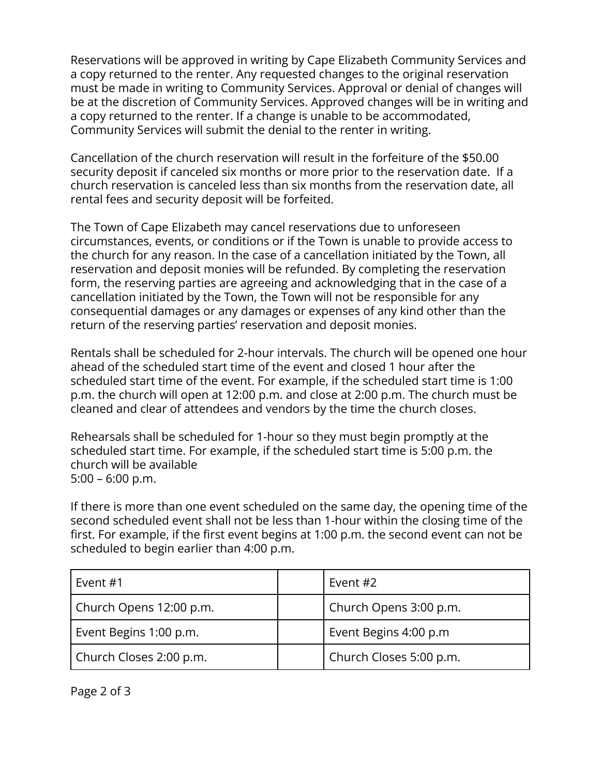Reservations will be approved in writing by Cape Elizabeth Community Services and a copy returned to the renter. Any requested changes to the original reservation must be made in writing to Community Services. Approval or denial of changes will be at the discretion of Community Services. Approved changes will be in writing and a copy returned to the renter. If a change is unable to be accommodated, Community Services will submit the denial to the renter in writing.

Cancellation of the church reservation will result in the forfeiture of the \$50.00 security deposit if canceled six months or more prior to the reservation date. If a church reservation is canceled less than six months from the reservation date, all rental fees and security deposit will be forfeited.

The Town of Cape Elizabeth may cancel reservations due to unforeseen circumstances, events, or conditions or if the Town is unable to provide access to the church for any reason. In the case of a cancellation initiated by the Town, all reservation and deposit monies will be refunded. By completing the reservation form, the reserving parties are agreeing and acknowledging that in the case of a cancellation initiated by the Town, the Town will not be responsible for any consequential damages or any damages or expenses of any kind other than the return of the reserving parties' reservation and deposit monies.

Rentals shall be scheduled for 2-hour intervals. The church will be opened one hour ahead of the scheduled start time of the event and closed 1 hour after the scheduled start time of the event. For example, if the scheduled start time is 1:00 p.m. the church will open at 12:00 p.m. and close at 2:00 p.m. The church must be cleaned and clear of attendees and vendors by the time the church closes.

Rehearsals shall be scheduled for 1-hour so they must begin promptly at the scheduled start time. For example, if the scheduled start time is 5:00 p.m. the church will be available 5:00 – 6:00 p.m.

If there is more than one event scheduled on the same day, the opening time of the second scheduled event shall not be less than 1-hour within the closing time of the first. For example, if the first event begins at 1:00 p.m. the second event can not be scheduled to begin earlier than 4:00 p.m.

| Event #1                | Event #2                |
|-------------------------|-------------------------|
| Church Opens 12:00 p.m. | Church Opens 3:00 p.m.  |
| Event Begins 1:00 p.m.  | Event Begins 4:00 p.m   |
| Church Closes 2:00 p.m. | Church Closes 5:00 p.m. |

Page 2 of 3